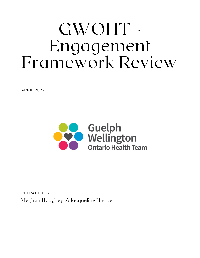## GWOHT - Engagement Framework Review

APRIL 2022



Meghan Haughey & Jacqueline Hooper PREPARED BY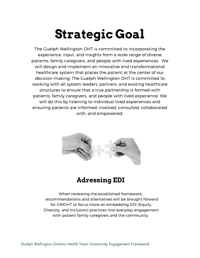## **Strategic Goal**

The Guelph Wellington OHT is committed to incorporating the experience, input, and insights from a wide range of diverse patients, family caregivers, and people with lived experiences. We will design and implement an innovative and transformational healthcare system that places the patient at the center of our decision-making. The Guelph Wellington OHT is committed to working with all system leaders, partners, and existing healthcare structures to ensure that a true partnership is formed with patients, family caregivers, and people with lived experience. We will do this by listening to individual lived experiences and ensuring patients are informed, involved, consulted, collaborated with, and empowered.



## **Adressing EDI**

When reviewing the established framework, recommendations and alternatives will be brought forward for GWOHT to focus more on embedding EDI (Equity, Diversity, and Inclusion) practices into everyday engagement with patient family caregivers and the community.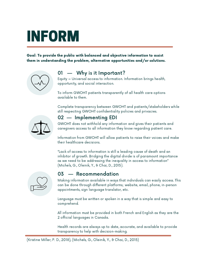## INFORM

Goal: To provide the public with balanced and objective information to assist them in understanding the problem, alternative opportunities and/or solutions.



## 01 — Why is it Important?

Equity = Universal access to information. Information brings health, opportunity, and social interaction.

To inform GWOHT patients transparently of all health care options available to them.

Complete transparency between GWOHT and patients/stakeholders while still respecting GWOHT confidentiality policies and privacies.



### 02 — Implementing EDI

GWOHT does not withhold any information and gives their patients and caregivers access to all information they know regarding patient care.

Information from GWOHT will allow patients to raise their voices and make their healthcare decisions.

"Lack of access to information is still a leading cause of death and an inhibitor of growth. Bridging the digital divide is of paramount importance as we need to be addressing the inequality in access to information" (Michels, G., Oleinik, Y., & Chai, D., 2015).



#### 03 — Recommendation

Making information available in ways that individuals can easily access. This can be done through different platforms; website, email, phone, in-person appointments, sign language translator, etc.

Language must be written or spoken in a way that is simple and easy to comprehend.

All information must be provided in both French and English as they are the 2 official languages in Canada.

Health records are always up to date, accurate, and available to provide transparency to help with decision-making.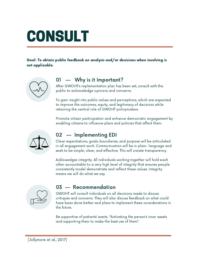## CONSULT

Goal: To obtain public feedback on analysis and/or decisions when involving is not applicable.



#### 01 — Why is it Important?

After GWOHT's implementation plan has been set, consult with the public to acknowledge opinions and concerns.

To gain insight into public values and perceptions, which are expected to improve the outcomes, equity, and legitimacy of decisions while retaining the central role of GWOHT policymakers.

Promote citizen participation and enhance democratic engagement by enabling citizens to influence plans and policies that affect them.



#### 02 — Implementing EDI

Clear expectations, goals, boundaries, and purpose will be articulated in all engagement work. Communication will be in plain- language and seek to be simple, clear, and effective. This will create transparency.

Acklowedges integrity. All individuals working together will hold each other accountable to a very high level of integrity that ensures people consistently model demonstrate and reflect these values. Integrity means we will do what we say.



#### 03 — Recommendation

GWOHT will consult individuals on all decisions made to discuss critiques and concerns. They will also discuss feedback on what could have been done better and plans to implement these considerations in the future.

Be supportive of patients' wants. "Activating the person's inner assets and supporting them to make the best use of them".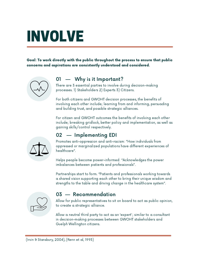## INVOLVE

Goal: To work directly with the public throughout the process to ensure that public concerns and aspirations are consistently understood and considered.



### 01 — Why is it Important?

There are 3 essential parties to involve during decision-making processes. 1) Stakeholders 2) Experts 3) Citizens.

For both citizens and GWOHT decision processes, the benefits of involving each other include; learning from and informing, persuading and building trust, and possible strategic alliances.

For citizen and GWOHT outcomes the benefits of involving each other include; breaking gridlock, better policy and implementation, as well as gaining skills/control respectively.



### 02 — Implementing EDI

Promotes anti-oppression and anti-racism: "How individuals from oppressed or marginalized populations have different experiences of healthcare".

Helps people become power-informed: "Acknowledges the power imbalances between patients and professionals".

Partnerships start to form. "Patients and professionals working towards a shared vision supporting each other to bring their unique wisdom and strengths to the table and driving change in the healthcare system".



#### 03 — Recommendation

Allow for public representatives to sit on board to act as public opinion, to create a strategic alliance.

Allow a neutral third party to act as an 'expert'; similar to a consultant in decision-making processes between GWOHT stakeholders and Guelph Wellington citizens.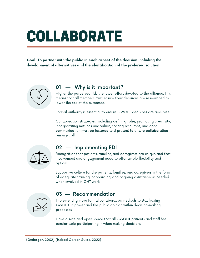# COLLABORATE

Goal: To partner with the public in each aspect of the decision including the development of alternatives and the identification of the preferred solution.



### 01 — Why is it Important?

Higher the perceived risk, the lower effort devoted to the alliance. This means that all members must ensure their decisions are researched to lower the risk of the outcomes.

Formal authority is essential to ensure GWOHT decisions are accurate.

Collaboration strategies, including defining roles, promoting creativity, incorporating missions and values, sharing resources, and open communication must be fostered and present to ensure collaboration amongst all.



#### 02 — Implementing EDI

Recognition that patients, families, and caregivers are unique and that involvement and engagement need to offer ample flexibility and options.

Supportive culture for the patients, families, and caregivers in the form of adequate training, onboarding, and ongoing assistance as needed when involved in OHT work.



#### 03 — Recommendation

Implementing more formal collaboration methods to stay having GWOHT in power and the public opinion within decision-making processes.

Have a safe and open space that all GWOHT patients and staff feel comfortable participating in when making decisions.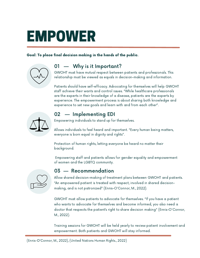## EMPOWER

#### Goal: To place final decision making in the hands of the public.



### 01 — Why is it Important?

GWOHT must have mutual respect between patients and professionals. This relationship must be viewed as equals in decision-making and information.

Patients should have self-efficacy. Advocating for themselves will help GWOHT staff achieve their wants and control issues. "While healthcare professionals are the experts in their knowledge of a disease, patients are the experts by experience. The empowerment process is about sharing both knowledge and experience to set new goals and learn with and from each other".



## 02 — Implementing EDI

Empowering individuals to stand up for themselves.

Allows individuals to feel heard and important. "Every human being matters, everyone is born equal in dignity and rights".

Protection of human rights, letting everyone be heard no matter their background.

Empowering staff and patients allows for gender equality and empowerment of women and the LGBTQ community.



#### 03 — Recommendation

Allow shared decision-making of treatment plans between GWOHT and patients. "An empowered patient is treated with respect, involved in shared decisionmaking, and is not patronized" (Ennis-O'Connor, M., 2022).

GWOHT must allow patients to advocate for themselves. "If you have a patient who wants to advocate for themselves and become informed, you also need a doctor that respects the patient's right to share decision making" (Ennis-O'Connor, M., 2022).

Training sessions for GWOHT will be held yearly to review patient involvement and empowerment. Both patients and GWOHT will stay informed.